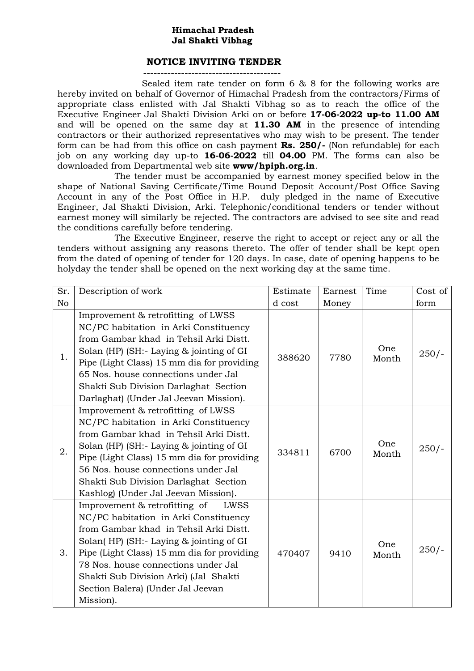## **Himachal Pradesh Jal Shakti Vibhag**

## **NOTICE INVITING TENDER**

**----------------------------------------**

 Sealed item rate tender on form 6 & 8 for the following works are hereby invited on behalf of Governor of Himachal Pradesh from the contractors/Firms of appropriate class enlisted with Jal Shakti Vibhag so as to reach the office of the Executive Engineer Jal Shakti Division Arki on or before **17-06-2022 up-to 11.00 AM**  and will be opened on the same day at **11.30 AM** in the presence of intending contractors or their authorized representatives who may wish to be present. The tender form can be had from this office on cash payment **Rs. 250/-** (Non refundable) for each job on any working day up-to **16-06-2022** till **04.00** PM. The forms can also be downloaded from Departmental web site **www/hpiph.org.in**.

The tender must be accompanied by earnest money specified below in the shape of National Saving Certificate/Time Bound Deposit Account/Post Office Saving Account in any of the Post Office in H.P. duly pledged in the name of Executive Engineer, Jal Shakti Division, Arki. Telephonic/conditional tenders or tender without earnest money will similarly be rejected. The contractors are advised to see site and read the conditions carefully before tendering.

The Executive Engineer, reserve the right to accept or reject any or all the tenders without assigning any reasons thereto. The offer of tender shall be kept open from the dated of opening of tender for 120 days. In case, date of opening happens to be holyday the tender shall be opened on the next working day at the same time.

| Sr.            | Description of work                                                                                                                                                                                                                                                                                                                                 | Estimate | Earnest | Time         | Cost of |
|----------------|-----------------------------------------------------------------------------------------------------------------------------------------------------------------------------------------------------------------------------------------------------------------------------------------------------------------------------------------------------|----------|---------|--------------|---------|
| N <sub>o</sub> |                                                                                                                                                                                                                                                                                                                                                     | d cost   | Money   |              | form    |
| 1.             | Improvement & retrofitting of LWSS<br>NC/PC habitation in Arki Constituency<br>from Gambar khad in Tehsil Arki Distt.<br>Solan (HP) (SH:- Laying & jointing of GI<br>Pipe (Light Class) 15 mm dia for providing<br>65 Nos. house connections under Jal<br>Shakti Sub Division Darlaghat Section<br>Darlaghat) (Under Jal Jeevan Mission).           | 388620   | 7780    | One<br>Month | $250/-$ |
| 2.             | Improvement & retrofitting of LWSS<br>NC/PC habitation in Arki Constituency<br>from Gambar khad in Tehsil Arki Distt.<br>Solan (HP) (SH:- Laying & jointing of GI<br>Pipe (Light Class) 15 mm dia for providing<br>56 Nos. house connections under Jal<br>Shakti Sub Division Darlaghat Section<br>Kashlog) (Under Jal Jeevan Mission).             | 334811   | 6700    | One<br>Month | $250/-$ |
| 3.             | Improvement & retrofitting of<br>LWSS<br>NC/PC habitation in Arki Constituency<br>from Gambar khad in Tehsil Arki Distt.<br>Solan(HP) (SH:- Laying & jointing of GI<br>Pipe (Light Class) 15 mm dia for providing<br>78 Nos. house connections under Jal<br>Shakti Sub Division Arki) (Jal Shakti<br>Section Balera) (Under Jal Jeevan<br>Mission). | 470407   | 9410    | One<br>Month | $250/-$ |